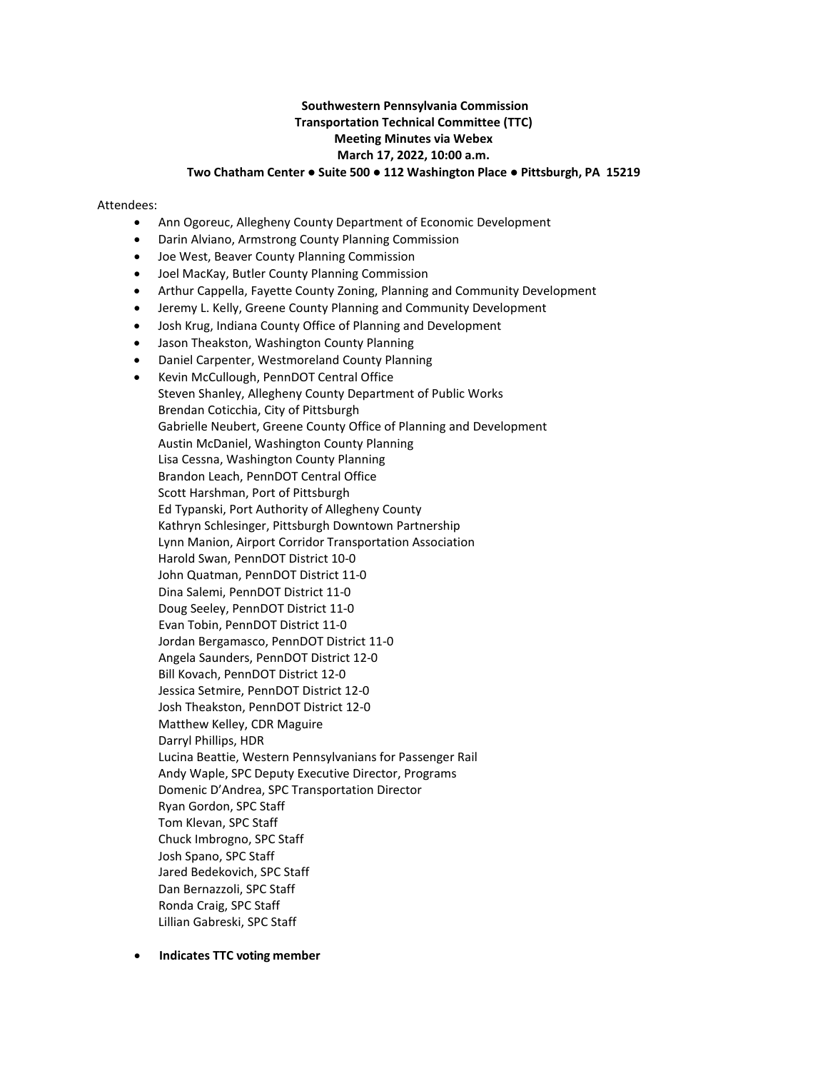# **Southwestern Pennsylvania Commission Transportation Technical Committee (TTC) Meeting Minutes via Webex March 17, 2022, 10:00 a.m. Two Chatham Center ● Suite 500 ● 112 Washington Place ● Pittsburgh, PA 15219**

#### Attendees:

- Ann Ogoreuc, Allegheny County Department of Economic Development
- Darin Alviano, Armstrong County Planning Commission
- Joe West, Beaver County Planning Commission
- Joel MacKay, Butler County Planning Commission
- Arthur Cappella, Fayette County Zoning, Planning and Community Development
- Jeremy L. Kelly, Greene County Planning and Community Development
- Josh Krug, Indiana County Office of Planning and Development
- Jason Theakston, Washington County Planning
- Daniel Carpenter, Westmoreland County Planning
- Kevin McCullough, PennDOT Central Office Steven Shanley, Allegheny County Department of Public Works Brendan Coticchia, City of Pittsburgh Gabrielle Neubert, Greene County Office of Planning and Development Austin McDaniel, Washington County Planning Lisa Cessna, Washington County Planning Brandon Leach, PennDOT Central Office Scott Harshman, Port of Pittsburgh Ed Typanski, Port Authority of Allegheny County Kathryn Schlesinger, Pittsburgh Downtown Partnership Lynn Manion, Airport Corridor Transportation Association Harold Swan, PennDOT District 10-0 John Quatman, PennDOT District 11-0 Dina Salemi, PennDOT District 11-0 Doug Seeley, PennDOT District 11-0 Evan Tobin, PennDOT District 11-0 Jordan Bergamasco, PennDOT District 11-0 Angela Saunders, PennDOT District 12-0 Bill Kovach, PennDOT District 12-0 Jessica Setmire, PennDOT District 12-0 Josh Theakston, PennDOT District 12-0 Matthew Kelley, CDR Maguire Darryl Phillips, HDR Lucina Beattie, Western Pennsylvanians for Passenger Rail Andy Waple, SPC Deputy Executive Director, Programs Domenic D'Andrea, SPC Transportation Director Ryan Gordon, SPC Staff Tom Klevan, SPC Staff Chuck Imbrogno, SPC Staff Josh Spano, SPC Staff Jared Bedekovich, SPC Staff Dan Bernazzoli, SPC Staff Ronda Craig, SPC Staff Lillian Gabreski, SPC Staff
- • **Indicates TTC voting member**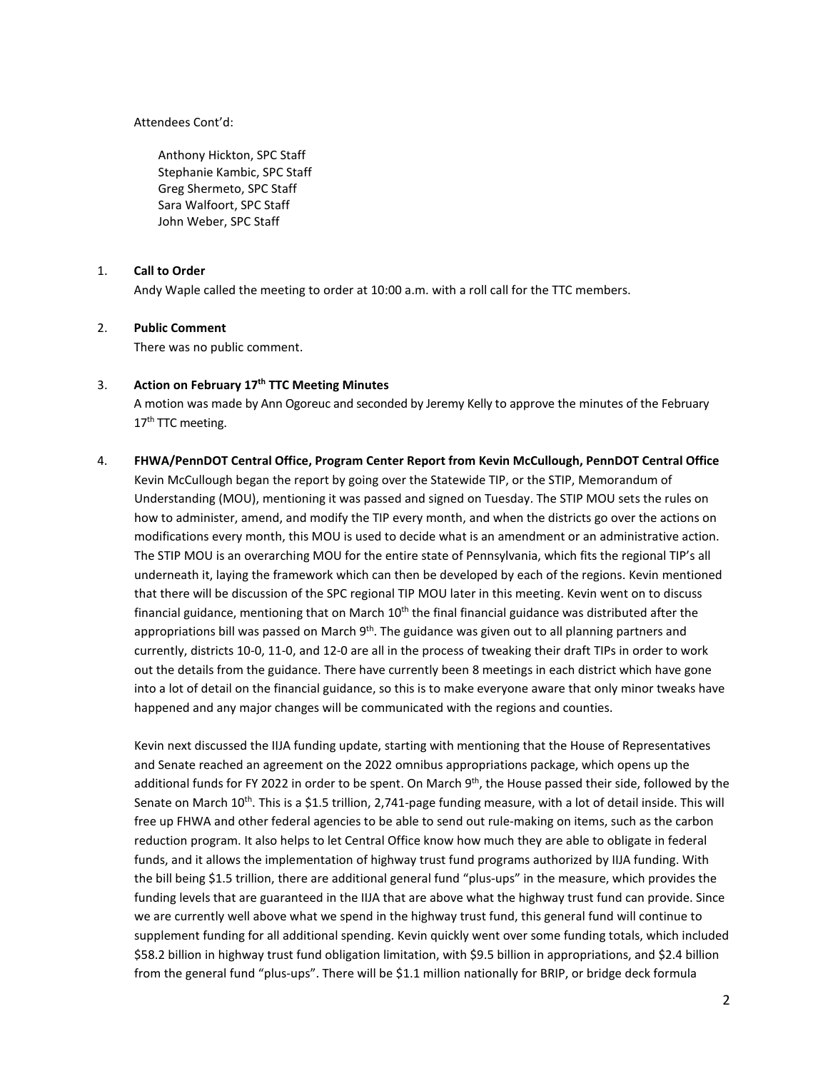Attendees Cont'd:

Anthony Hickton, SPC Staff Stephanie Kambic, SPC Staff Greg Shermeto, SPC Staff Sara Walfoort, SPC Staff John Weber, SPC Staff

### 1. **Call to Order**

Andy Waple called the meeting to order at 10:00 a.m. with a roll call for the TTC members.

## 2. **Public Comment**

There was no public comment.

### 3. **Action on February 17th TTC Meeting Minutes**

A motion was made by Ann Ogoreuc and seconded by Jeremy Kelly to approve the minutes of the February 17<sup>th</sup> TTC meeting.

# 4. **FHWA/PennDOT Central Office, Program Center Report from Kevin McCullough, PennDOT Central Office** Kevin McCullough began the report by going over the Statewide TIP, or the STIP, Memorandum of Understanding (MOU), mentioning it was passed and signed on Tuesday. The STIP MOU sets the rules on how to administer, amend, and modify the TIP every month, and when the districts go over the actions on modifications every month, this MOU is used to decide what is an amendment or an administrative action. The STIP MOU is an overarching MOU for the entire state of Pennsylvania, which fits the regional TIP's all underneath it, laying the framework which can then be developed by each of the regions. Kevin mentioned that there will be discussion of the SPC regional TIP MOU later in this meeting. Kevin went on to discuss financial guidance, mentioning that on March  $10<sup>th</sup>$  the final financial guidance was distributed after the appropriations bill was passed on March  $9<sup>th</sup>$ . The guidance was given out to all planning partners and currently, districts 10-0, 11-0, and 12-0 are all in the process of tweaking their draft TIPs in order to work out the details from the guidance. There have currently been 8 meetings in each district which have gone into a lot of detail on the financial guidance, so this is to make everyone aware that only minor tweaks have happened and any major changes will be communicated with the regions and counties.

Kevin next discussed the IIJA funding update, starting with mentioning that the House of Representatives and Senate reached an agreement on the 2022 omnibus appropriations package, which opens up the additional funds for FY 2022 in order to be spent. On March 9<sup>th</sup>, the House passed their side, followed by the Senate on March 10<sup>th</sup>. This is a \$1.5 trillion, 2,741-page funding measure, with a lot of detail inside. This will free up FHWA and other federal agencies to be able to send out rule-making on items, such as the carbon reduction program. It also helps to let Central Office know how much they are able to obligate in federal funds, and it allows the implementation of highway trust fund programs authorized by IIJA funding. With the bill being \$1.5 trillion, there are additional general fund "plus-ups" in the measure, which provides the funding levels that are guaranteed in the IIJA that are above what the highway trust fund can provide. Since we are currently well above what we spend in the highway trust fund, this general fund will continue to supplement funding for all additional spending. Kevin quickly went over some funding totals, which included \$58.2 billion in highway trust fund obligation limitation, with \$9.5 billion in appropriations, and \$2.4 billion from the general fund "plus-ups". There will be \$1.1 million nationally for BRIP, or bridge deck formula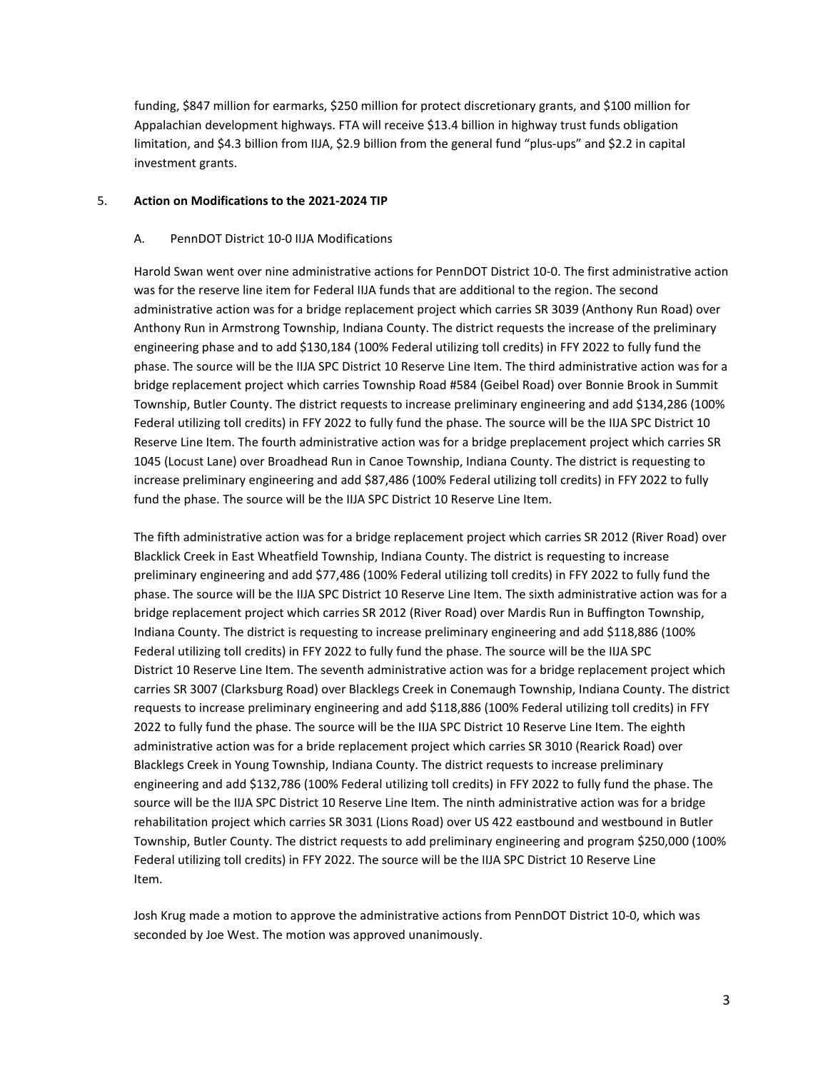funding, \$847 million for earmarks, \$250 million for protect discretionary grants, and \$100 million for Appalachian development highways. FTA will receive \$13.4 billion in highway trust funds obligation limitation, and \$4.3 billion from IIJA, \$2.9 billion from the general fund "plus-ups" and \$2.2 in capital investment grants.

## 5. **Action on Modifications to the 2021-2024 TIP**

## A. PennDOT District 10-0 IIJA Modifications

Harold Swan went over nine administrative actions for PennDOT District 10-0. The first administrative action was for the reserve line item for Federal IIJA funds that are additional to the region. The second administrative action was for a bridge replacement project which carries SR 3039 (Anthony Run Road) over Anthony Run in Armstrong Township, Indiana County. The district requests the increase of the preliminary engineering phase and to add \$130,184 (100% Federal utilizing toll credits) in FFY 2022 to fully fund the phase. The source will be the IIJA SPC District 10 Reserve Line Item. The third administrative action was for a bridge replacement project which carries Township Road #584 (Geibel Road) over Bonnie Brook in Summit Township, Butler County. The district requests to increase preliminary engineering and add \$134,286 (100% Federal utilizing toll credits) in FFY 2022 to fully fund the phase. The source will be the IIJA SPC District 10 Reserve Line Item. The fourth administrative action was for a bridge preplacement project which carries SR 1045 (Locust Lane) over Broadhead Run in Canoe Township, Indiana County. The district is requesting to increase preliminary engineering and add \$87,486 (100% Federal utilizing toll credits) in FFY 2022 to fully fund the phase. The source will be the IIJA SPC District 10 Reserve Line Item.

The fifth administrative action was for a bridge replacement project which carries SR 2012 (River Road) over Blacklick Creek in East Wheatfield Township, Indiana County. The district is requesting to increase preliminary engineering and add \$77,486 (100% Federal utilizing toll credits) in FFY 2022 to fully fund the phase. The source will be the IIJA SPC District 10 Reserve Line Item. The sixth administrative action was for a bridge replacement project which carries SR 2012 (River Road) over Mardis Run in Buffington Township, Indiana County. The district is requesting to increase preliminary engineering and add \$118,886 (100% Federal utilizing toll credits) in FFY 2022 to fully fund the phase. The source will be the IIJA SPC District 10 Reserve Line Item. The seventh administrative action was for a bridge replacement project which carries SR 3007 (Clarksburg Road) over Blacklegs Creek in Conemaugh Township, Indiana County. The district requests to increase preliminary engineering and add \$118,886 (100% Federal utilizing toll credits) in FFY 2022 to fully fund the phase. The source will be the IIJA SPC District 10 Reserve Line Item. The eighth administrative action was for a bride replacement project which carries SR 3010 (Rearick Road) over Blacklegs Creek in Young Township, Indiana County. The district requests to increase preliminary engineering and add \$132,786 (100% Federal utilizing toll credits) in FFY 2022 to fully fund the phase. The source will be the IIJA SPC District 10 Reserve Line Item. The ninth administrative action was for a bridge rehabilitation project which carries SR 3031 (Lions Road) over US 422 eastbound and westbound in Butler Township, Butler County. The district requests to add preliminary engineering and program \$250,000 (100% Federal utilizing toll credits) in FFY 2022. The source will be the IIJA SPC District 10 Reserve Line Item.

Josh Krug made a motion to approve the administrative actions from PennDOT District 10-0, which was seconded by Joe West. The motion was approved unanimously.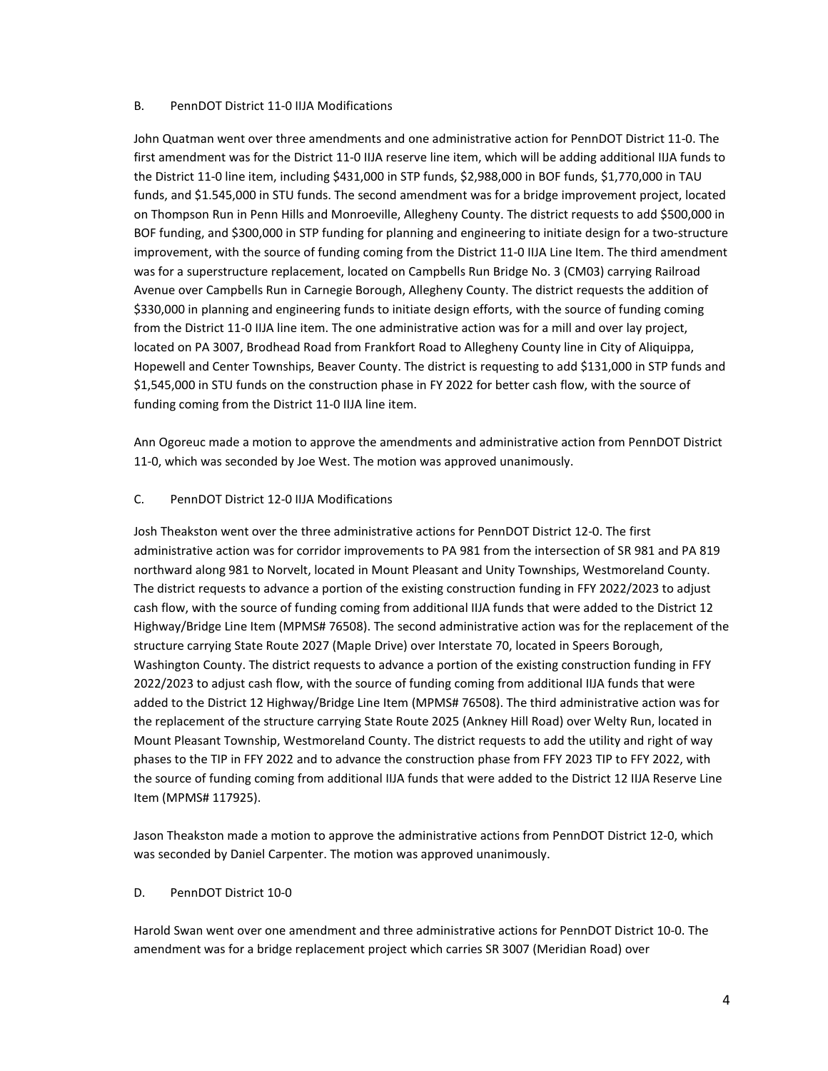## B. PennDOT District 11-0 IIJA Modifications

John Quatman went over three amendments and one administrative action for PennDOT District 11-0. The first amendment was for the District 11-0 IIJA reserve line item, which will be adding additional IIJA funds to the District 11-0 line item, including \$431,000 in STP funds, \$2,988,000 in BOF funds, \$1,770,000 in TAU funds, and \$1.545,000 in STU funds. The second amendment was for a bridge improvement project, located on Thompson Run in Penn Hills and Monroeville, Allegheny County. The district requests to add \$500,000 in BOF funding, and \$300,000 in STP funding for planning and engineering to initiate design for a two-structure improvement, with the source of funding coming from the District 11-0 IIJA Line Item. The third amendment was for a superstructure replacement, located on Campbells Run Bridge No. 3 (CM03) carrying Railroad Avenue over Campbells Run in Carnegie Borough, Allegheny County. The district requests the addition of \$330,000 in planning and engineering funds to initiate design efforts, with the source of funding coming from the District 11-0 IIJA line item. The one administrative action was for a mill and over lay project, located on PA 3007, Brodhead Road from Frankfort Road to Allegheny County line in City of Aliquippa, Hopewell and Center Townships, Beaver County. The district is requesting to add \$131,000 in STP funds and \$1,545,000 in STU funds on the construction phase in FY 2022 for better cash flow, with the source of funding coming from the District 11-0 IIJA line item.

Ann Ogoreuc made a motion to approve the amendments and administrative action from PennDOT District 11-0, which was seconded by Joe West. The motion was approved unanimously.

# C. PennDOT District 12-0 IIJA Modifications

Josh Theakston went over the three administrative actions for PennDOT District 12-0. The first administrative action was for corridor improvements to PA 981 from the intersection of SR 981 and PA 819 northward along 981 to Norvelt, located in Mount Pleasant and Unity Townships, Westmoreland County. The district requests to advance a portion of the existing construction funding in FFY 2022/2023 to adjust cash flow, with the source of funding coming from additional IIJA funds that were added to the District 12 Highway/Bridge Line Item (MPMS# 76508). The second administrative action was for the replacement of the structure carrying State Route 2027 (Maple Drive) over Interstate 70, located in Speers Borough, Washington County. The district requests to advance a portion of the existing construction funding in FFY 2022/2023 to adjust cash flow, with the source of funding coming from additional IIJA funds that were added to the District 12 Highway/Bridge Line Item (MPMS# 76508). The third administrative action was for the replacement of the structure carrying State Route 2025 (Ankney Hill Road) over Welty Run, located in Mount Pleasant Township, Westmoreland County. The district requests to add the utility and right of way phases to the TIP in FFY 2022 and to advance the construction phase from FFY 2023 TIP to FFY 2022, with the source of funding coming from additional IIJA funds that were added to the District 12 IIJA Reserve Line Item (MPMS# 117925).

Jason Theakston made a motion to approve the administrative actions from PennDOT District 12-0, which was seconded by Daniel Carpenter. The motion was approved unanimously.

# D. PennDOT District 10-0

Harold Swan went over one amendment and three administrative actions for PennDOT District 10-0. The amendment was for a bridge replacement project which carries SR 3007 (Meridian Road) over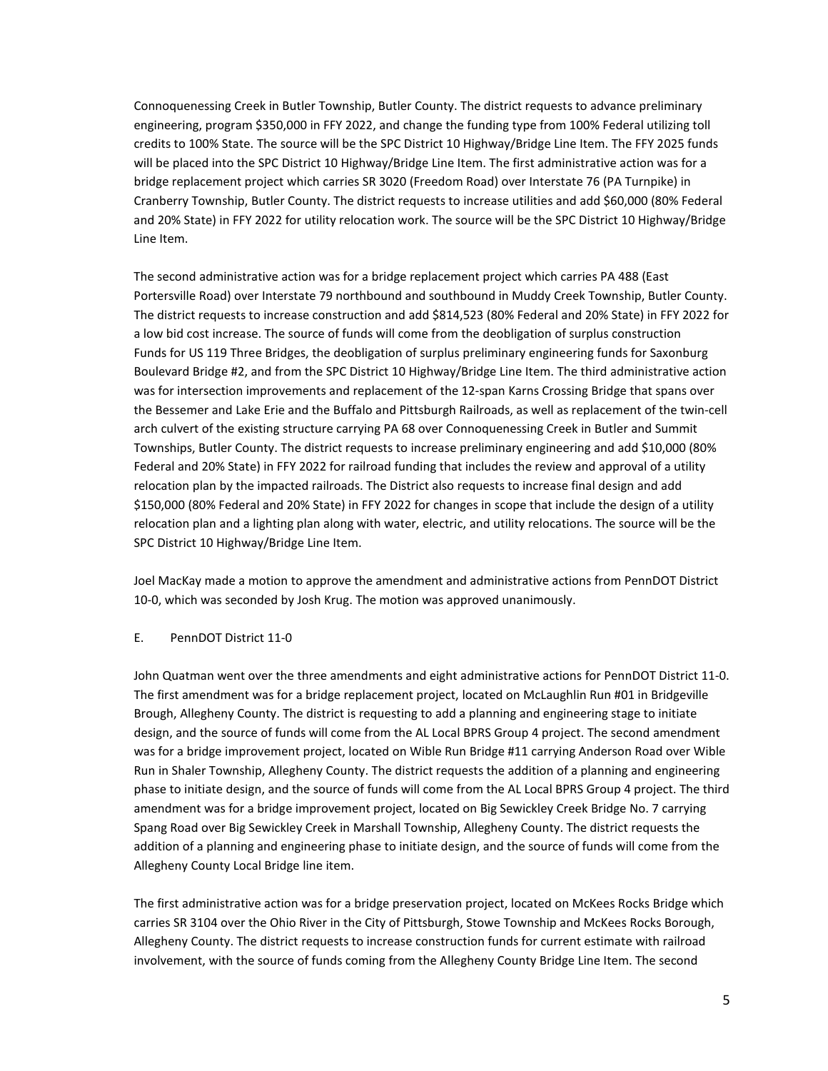Connoquenessing Creek in Butler Township, Butler County. The district requests to advance preliminary engineering, program \$350,000 in FFY 2022, and change the funding type from 100% Federal utilizing toll credits to 100% State. The source will be the SPC District 10 Highway/Bridge Line Item. The FFY 2025 funds will be placed into the SPC District 10 Highway/Bridge Line Item. The first administrative action was for a bridge replacement project which carries SR 3020 (Freedom Road) over Interstate 76 (PA Turnpike) in Cranberry Township, Butler County. The district requests to increase utilities and add \$60,000 (80% Federal and 20% State) in FFY 2022 for utility relocation work. The source will be the SPC District 10 Highway/Bridge Line Item.

The second administrative action was for a bridge replacement project which carries PA 488 (East Portersville Road) over Interstate 79 northbound and southbound in Muddy Creek Township, Butler County. The district requests to increase construction and add \$814,523 (80% Federal and 20% State) in FFY 2022 for a low bid cost increase. The source of funds will come from the deobligation of surplus construction Funds for US 119 Three Bridges, the deobligation of surplus preliminary engineering funds for Saxonburg Boulevard Bridge #2, and from the SPC District 10 Highway/Bridge Line Item. The third administrative action was for intersection improvements and replacement of the 12-span Karns Crossing Bridge that spans over the Bessemer and Lake Erie and the Buffalo and Pittsburgh Railroads, as well as replacement of the twin-cell arch culvert of the existing structure carrying PA 68 over Connoquenessing Creek in Butler and Summit Townships, Butler County. The district requests to increase preliminary engineering and add \$10,000 (80% Federal and 20% State) in FFY 2022 for railroad funding that includes the review and approval of a utility relocation plan by the impacted railroads. The District also requests to increase final design and add \$150,000 (80% Federal and 20% State) in FFY 2022 for changes in scope that include the design of a utility relocation plan and a lighting plan along with water, electric, and utility relocations. The source will be the SPC District 10 Highway/Bridge Line Item.

Joel MacKay made a motion to approve the amendment and administrative actions from PennDOT District 10-0, which was seconded by Josh Krug. The motion was approved unanimously.

# E. PennDOT District 11-0

John Quatman went over the three amendments and eight administrative actions for PennDOT District 11-0. The first amendment was for a bridge replacement project, located on McLaughlin Run #01 in Bridgeville Brough, Allegheny County. The district is requesting to add a planning and engineering stage to initiate design, and the source of funds will come from the AL Local BPRS Group 4 project. The second amendment was for a bridge improvement project, located on Wible Run Bridge #11 carrying Anderson Road over Wible Run in Shaler Township, Allegheny County. The district requests the addition of a planning and engineering phase to initiate design, and the source of funds will come from the AL Local BPRS Group 4 project. The third amendment was for a bridge improvement project, located on Big Sewickley Creek Bridge No. 7 carrying Spang Road over Big Sewickley Creek in Marshall Township, Allegheny County. The district requests the addition of a planning and engineering phase to initiate design, and the source of funds will come from the Allegheny County Local Bridge line item.

The first administrative action was for a bridge preservation project, located on McKees Rocks Bridge which carries SR 3104 over the Ohio River in the City of Pittsburgh, Stowe Township and McKees Rocks Borough, Allegheny County. The district requests to increase construction funds for current estimate with railroad involvement, with the source of funds coming from the Allegheny County Bridge Line Item. The second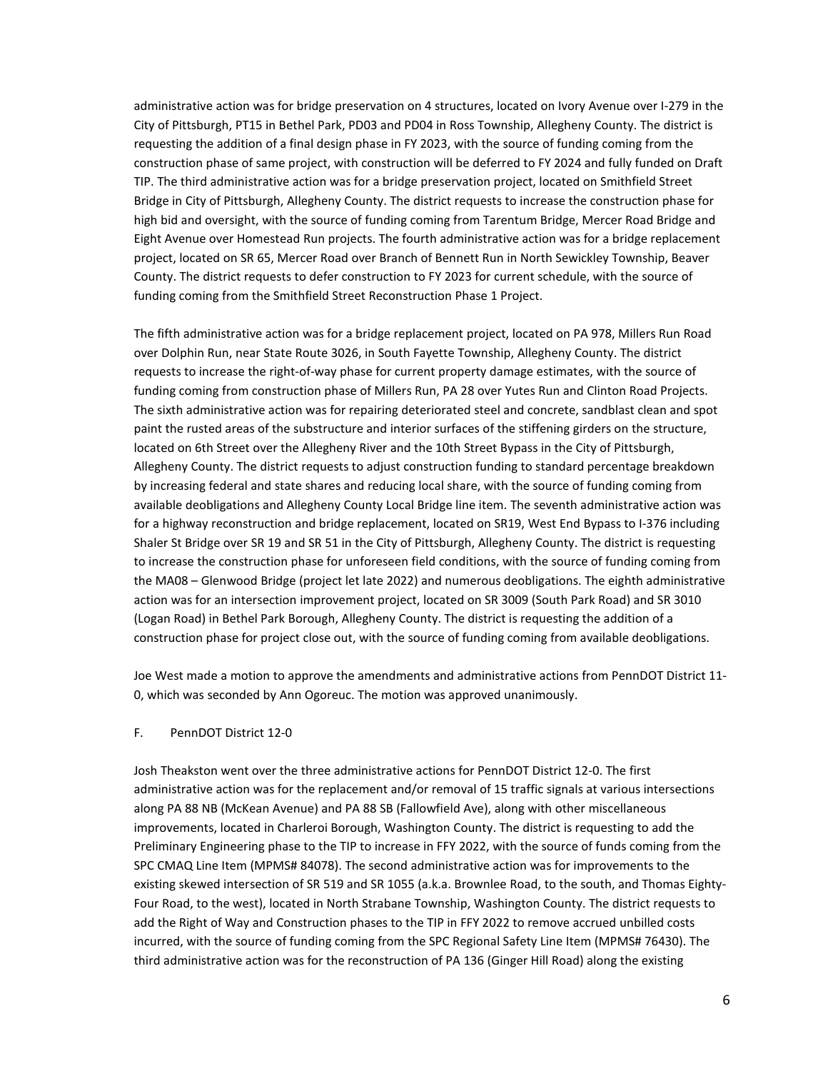administrative action was for bridge preservation on 4 structures, located on Ivory Avenue over I-279 in the City of Pittsburgh, PT15 in Bethel Park, PD03 and PD04 in Ross Township, Allegheny County. The district is requesting the addition of a final design phase in FY 2023, with the source of funding coming from the construction phase of same project, with construction will be deferred to FY 2024 and fully funded on Draft TIP. The third administrative action was for a bridge preservation project, located on Smithfield Street Bridge in City of Pittsburgh, Allegheny County. The district requests to increase the construction phase for high bid and oversight, with the source of funding coming from Tarentum Bridge, Mercer Road Bridge and Eight Avenue over Homestead Run projects. The fourth administrative action was for a bridge replacement project, located on SR 65, Mercer Road over Branch of Bennett Run in North Sewickley Township, Beaver County. The district requests to defer construction to FY 2023 for current schedule, with the source of funding coming from the Smithfield Street Reconstruction Phase 1 Project.

The fifth administrative action was for a bridge replacement project, located on PA 978, Millers Run Road over Dolphin Run, near State Route 3026, in South Fayette Township, Allegheny County. The district requests to increase the right-of-way phase for current property damage estimates, with the source of funding coming from construction phase of Millers Run, PA 28 over Yutes Run and Clinton Road Projects. The sixth administrative action was for repairing deteriorated steel and concrete, sandblast clean and spot paint the rusted areas of the substructure and interior surfaces of the stiffening girders on the structure, located on 6th Street over the Allegheny River and the 10th Street Bypass in the City of Pittsburgh, Allegheny County. The district requests to adjust construction funding to standard percentage breakdown by increasing federal and state shares and reducing local share, with the source of funding coming from available deobligations and Allegheny County Local Bridge line item. The seventh administrative action was for a highway reconstruction and bridge replacement, located on SR19, West End Bypass to I-376 including Shaler St Bridge over SR 19 and SR 51 in the City of Pittsburgh, Allegheny County. The district is requesting to increase the construction phase for unforeseen field conditions, with the source of funding coming from the MA08 – Glenwood Bridge (project let late 2022) and numerous deobligations. The eighth administrative action was for an intersection improvement project, located on SR 3009 (South Park Road) and SR 3010 (Logan Road) in Bethel Park Borough, Allegheny County. The district is requesting the addition of a construction phase for project close out, with the source of funding coming from available deobligations.

Joe West made a motion to approve the amendments and administrative actions from PennDOT District 11- 0, which was seconded by Ann Ogoreuc. The motion was approved unanimously.

### F. PennDOT District 12-0

Josh Theakston went over the three administrative actions for PennDOT District 12-0. The first administrative action was for the replacement and/or removal of 15 traffic signals at various intersections along PA 88 NB (McKean Avenue) and PA 88 SB (Fallowfield Ave), along with other miscellaneous improvements, located in Charleroi Borough, Washington County. The district is requesting to add the Preliminary Engineering phase to the TIP to increase in FFY 2022, with the source of funds coming from the SPC CMAQ Line Item (MPMS# 84078). The second administrative action was for improvements to the existing skewed intersection of SR 519 and SR 1055 (a.k.a. Brownlee Road, to the south, and Thomas Eighty-Four Road, to the west), located in North Strabane Township, Washington County. The district requests to add the Right of Way and Construction phases to the TIP in FFY 2022 to remove accrued unbilled costs incurred, with the source of funding coming from the SPC Regional Safety Line Item (MPMS# 76430). The third administrative action was for the reconstruction of PA 136 (Ginger Hill Road) along the existing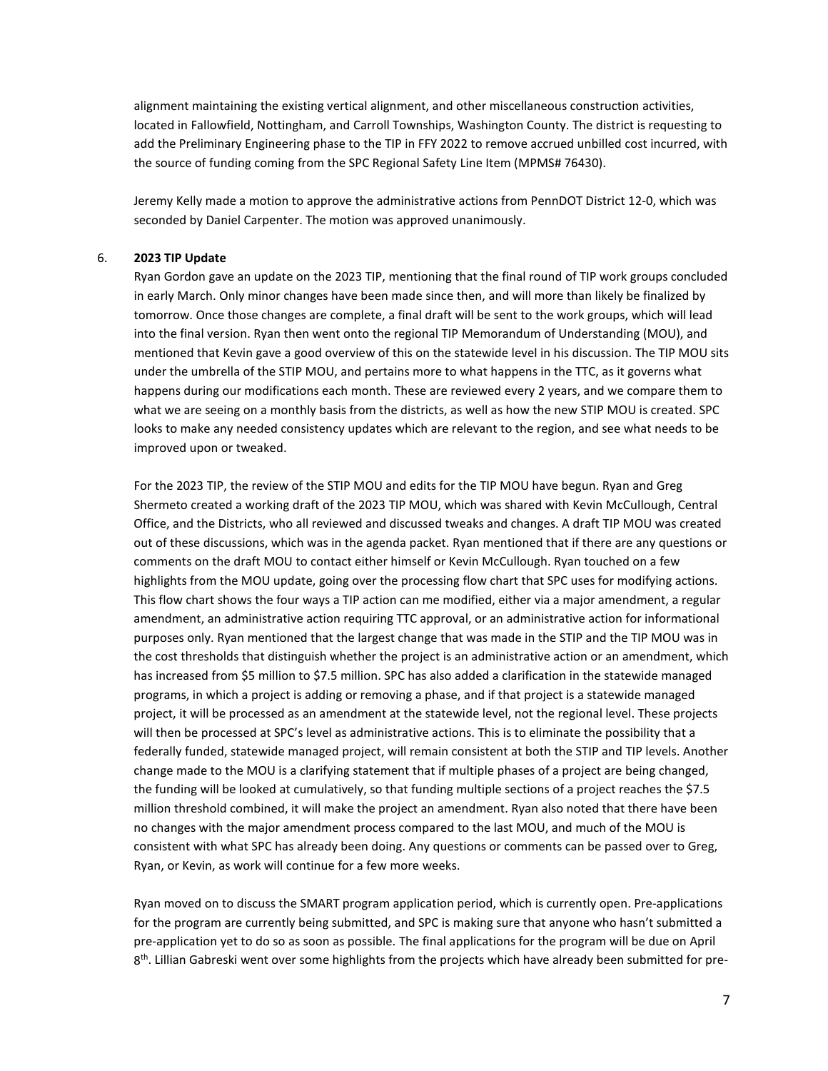alignment maintaining the existing vertical alignment, and other miscellaneous construction activities, located in Fallowfield, Nottingham, and Carroll Townships, Washington County. The district is requesting to add the Preliminary Engineering phase to the TIP in FFY 2022 to remove accrued unbilled cost incurred, with the source of funding coming from the SPC Regional Safety Line Item (MPMS# 76430).

Jeremy Kelly made a motion to approve the administrative actions from PennDOT District 12-0, which was seconded by Daniel Carpenter. The motion was approved unanimously.

#### 6. **2023 TIP Update**

Ryan Gordon gave an update on the 2023 TIP, mentioning that the final round of TIP work groups concluded in early March. Only minor changes have been made since then, and will more than likely be finalized by tomorrow. Once those changes are complete, a final draft will be sent to the work groups, which will lead into the final version. Ryan then went onto the regional TIP Memorandum of Understanding (MOU), and mentioned that Kevin gave a good overview of this on the statewide level in his discussion. The TIP MOU sits under the umbrella of the STIP MOU, and pertains more to what happens in the TTC, as it governs what happens during our modifications each month. These are reviewed every 2 years, and we compare them to what we are seeing on a monthly basis from the districts, as well as how the new STIP MOU is created. SPC looks to make any needed consistency updates which are relevant to the region, and see what needs to be improved upon or tweaked.

For the 2023 TIP, the review of the STIP MOU and edits for the TIP MOU have begun. Ryan and Greg Shermeto created a working draft of the 2023 TIP MOU, which was shared with Kevin McCullough, Central Office, and the Districts, who all reviewed and discussed tweaks and changes. A draft TIP MOU was created out of these discussions, which was in the agenda packet. Ryan mentioned that if there are any questions or comments on the draft MOU to contact either himself or Kevin McCullough. Ryan touched on a few highlights from the MOU update, going over the processing flow chart that SPC uses for modifying actions. This flow chart shows the four ways a TIP action can me modified, either via a major amendment, a regular amendment, an administrative action requiring TTC approval, or an administrative action for informational purposes only. Ryan mentioned that the largest change that was made in the STIP and the TIP MOU was in the cost thresholds that distinguish whether the project is an administrative action or an amendment, which has increased from \$5 million to \$7.5 million. SPC has also added a clarification in the statewide managed programs, in which a project is adding or removing a phase, and if that project is a statewide managed project, it will be processed as an amendment at the statewide level, not the regional level. These projects will then be processed at SPC's level as administrative actions. This is to eliminate the possibility that a federally funded, statewide managed project, will remain consistent at both the STIP and TIP levels. Another change made to the MOU is a clarifying statement that if multiple phases of a project are being changed, the funding will be looked at cumulatively, so that funding multiple sections of a project reaches the \$7.5 million threshold combined, it will make the project an amendment. Ryan also noted that there have been no changes with the major amendment process compared to the last MOU, and much of the MOU is consistent with what SPC has already been doing. Any questions or comments can be passed over to Greg, Ryan, or Kevin, as work will continue for a few more weeks.

Ryan moved on to discuss the SMART program application period, which is currently open. Pre-applications for the program are currently being submitted, and SPC is making sure that anyone who hasn't submitted a pre-application yet to do so as soon as possible. The final applications for the program will be due on April 8<sup>th</sup>. Lillian Gabreski went over some highlights from the projects which have already been submitted for pre-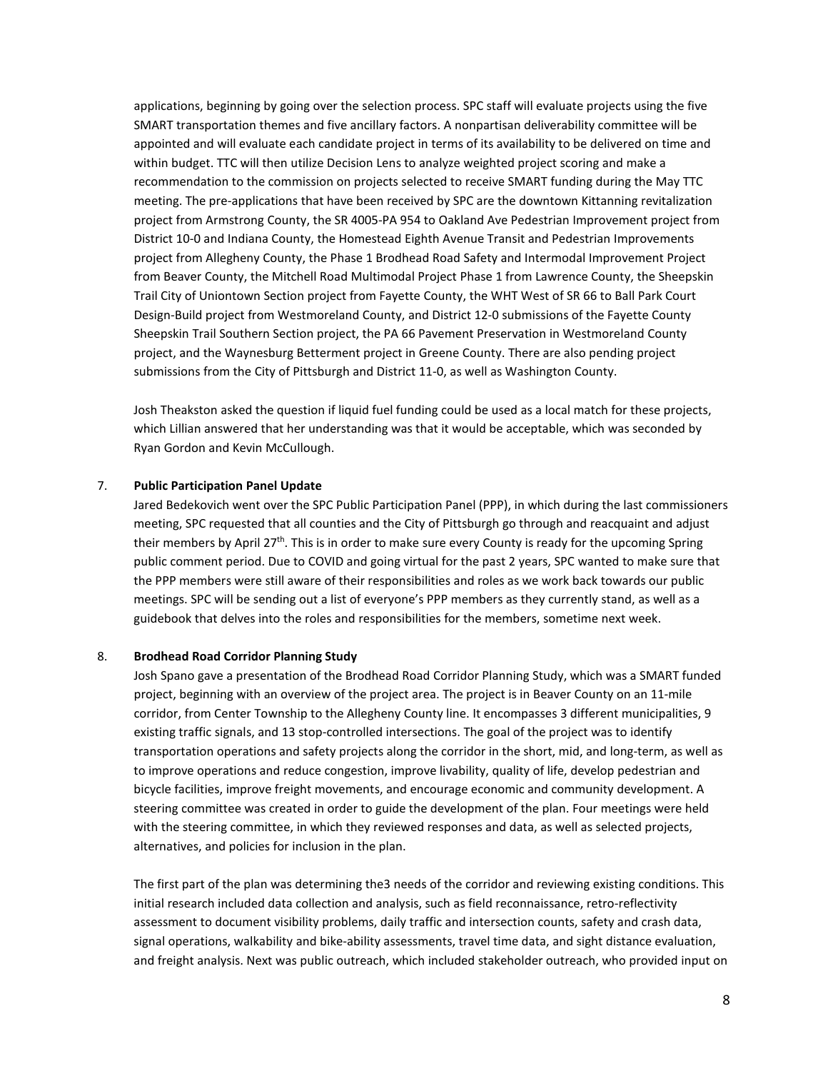applications, beginning by going over the selection process. SPC staff will evaluate projects using the five SMART transportation themes and five ancillary factors. A nonpartisan deliverability committee will be appointed and will evaluate each candidate project in terms of its availability to be delivered on time and within budget. TTC will then utilize Decision Lens to analyze weighted project scoring and make a recommendation to the commission on projects selected to receive SMART funding during the May TTC meeting. The pre-applications that have been received by SPC are the downtown Kittanning revitalization project from Armstrong County, the SR 4005-PA 954 to Oakland Ave Pedestrian Improvement project from District 10-0 and Indiana County, the Homestead Eighth Avenue Transit and Pedestrian Improvements project from Allegheny County, the Phase 1 Brodhead Road Safety and Intermodal Improvement Project from Beaver County, the Mitchell Road Multimodal Project Phase 1 from Lawrence County, the Sheepskin Trail City of Uniontown Section project from Fayette County, the WHT West of SR 66 to Ball Park Court Design-Build project from Westmoreland County, and District 12-0 submissions of the Fayette County Sheepskin Trail Southern Section project, the PA 66 Pavement Preservation in Westmoreland County project, and the Waynesburg Betterment project in Greene County. There are also pending project submissions from the City of Pittsburgh and District 11-0, as well as Washington County.

Josh Theakston asked the question if liquid fuel funding could be used as a local match for these projects, which Lillian answered that her understanding was that it would be acceptable, which was seconded by Ryan Gordon and Kevin McCullough.

#### 7. **Public Participation Panel Update**

Jared Bedekovich went over the SPC Public Participation Panel (PPP), in which during the last commissioners meeting, SPC requested that all counties and the City of Pittsburgh go through and reacquaint and adjust their members by April  $27<sup>th</sup>$ . This is in order to make sure every County is ready for the upcoming Spring public comment period. Due to COVID and going virtual for the past 2 years, SPC wanted to make sure that the PPP members were still aware of their responsibilities and roles as we work back towards our public meetings. SPC will be sending out a list of everyone's PPP members as they currently stand, as well as a guidebook that delves into the roles and responsibilities for the members, sometime next week.

#### 8. **Brodhead Road Corridor Planning Study**

Josh Spano gave a presentation of the Brodhead Road Corridor Planning Study, which was a SMART funded project, beginning with an overview of the project area. The project is in Beaver County on an 11-mile corridor, from Center Township to the Allegheny County line. It encompasses 3 different municipalities, 9 existing traffic signals, and 13 stop-controlled intersections. The goal of the project was to identify transportation operations and safety projects along the corridor in the short, mid, and long-term, as well as to improve operations and reduce congestion, improve livability, quality of life, develop pedestrian and bicycle facilities, improve freight movements, and encourage economic and community development. A steering committee was created in order to guide the development of the plan. Four meetings were held with the steering committee, in which they reviewed responses and data, as well as selected projects, alternatives, and policies for inclusion in the plan.

The first part of the plan was determining the3 needs of the corridor and reviewing existing conditions. This initial research included data collection and analysis, such as field reconnaissance, retro-reflectivity assessment to document visibility problems, daily traffic and intersection counts, safety and crash data, signal operations, walkability and bike-ability assessments, travel time data, and sight distance evaluation, and freight analysis. Next was public outreach, which included stakeholder outreach, who provided input on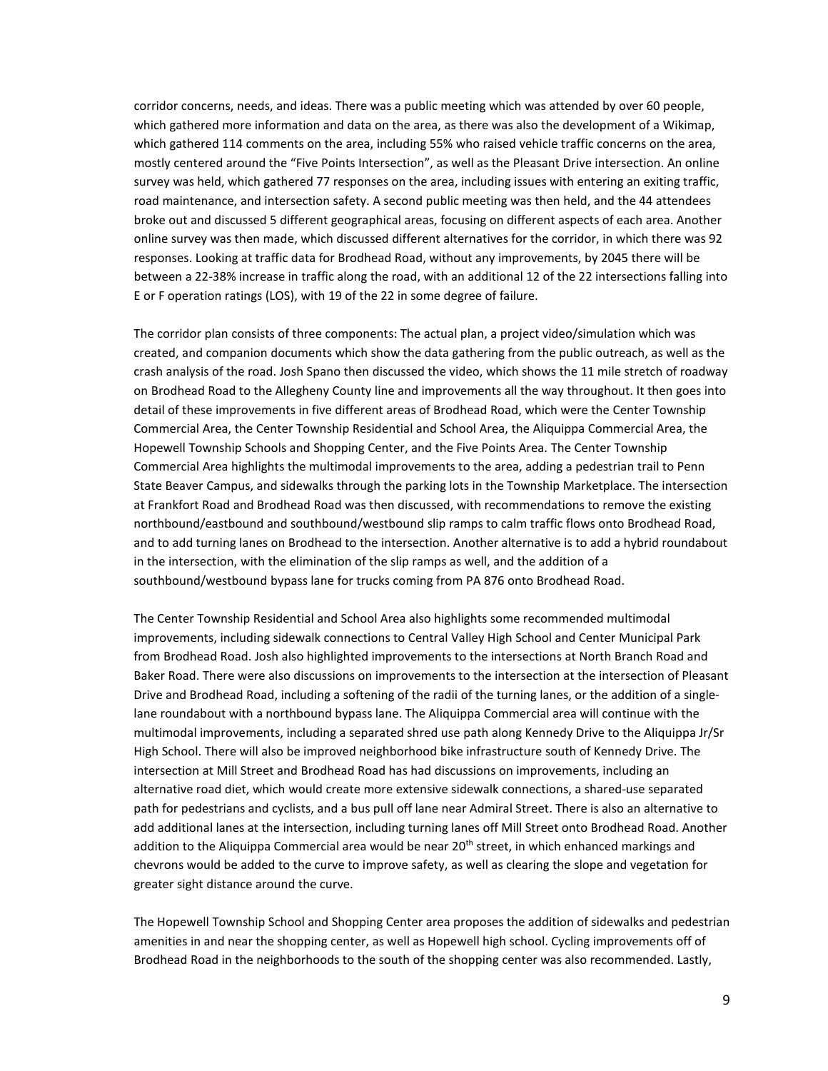corridor concerns, needs, and ideas. There was a public meeting which was attended by over 60 people, which gathered more information and data on the area, as there was also the development of a Wikimap, which gathered 114 comments on the area, including 55% who raised vehicle traffic concerns on the area, mostly centered around the "Five Points Intersection", as well as the Pleasant Drive intersection. An online survey was held, which gathered 77 responses on the area, including issues with entering an exiting traffic, road maintenance, and intersection safety. A second public meeting was then held, and the 44 attendees broke out and discussed 5 different geographical areas, focusing on different aspects of each area. Another online survey was then made, which discussed different alternatives for the corridor, in which there was 92 responses. Looking at traffic data for Brodhead Road, without any improvements, by 2045 there will be between a 22-38% increase in traffic along the road, with an additional 12 of the 22 intersections falling into E or F operation ratings (LOS), with 19 of the 22 in some degree of failure.

The corridor plan consists of three components: The actual plan, a project video/simulation which was created, and companion documents which show the data gathering from the public outreach, as well as the crash analysis of the road. Josh Spano then discussed the video, which shows the 11 mile stretch of roadway on Brodhead Road to the Allegheny County line and improvements all the way throughout. It then goes into detail of these improvements in five different areas of Brodhead Road, which were the Center Township Commercial Area, the Center Township Residential and School Area, the Aliquippa Commercial Area, the Hopewell Township Schools and Shopping Center, and the Five Points Area. The Center Township Commercial Area highlights the multimodal improvements to the area, adding a pedestrian trail to Penn State Beaver Campus, and sidewalks through the parking lots in the Township Marketplace. The intersection at Frankfort Road and Brodhead Road was then discussed, with recommendations to remove the existing northbound/eastbound and southbound/westbound slip ramps to calm traffic flows onto Brodhead Road, and to add turning lanes on Brodhead to the intersection. Another alternative is to add a hybrid roundabout in the intersection, with the elimination of the slip ramps as well, and the addition of a southbound/westbound bypass lane for trucks coming from PA 876 onto Brodhead Road.

The Center Township Residential and School Area also highlights some recommended multimodal improvements, including sidewalk connections to Central Valley High School and Center Municipal Park from Brodhead Road. Josh also highlighted improvements to the intersections at North Branch Road and Baker Road. There were also discussions on improvements to the intersection at the intersection of Pleasant Drive and Brodhead Road, including a softening of the radii of the turning lanes, or the addition of a singlelane roundabout with a northbound bypass lane. The Aliquippa Commercial area will continue with the multimodal improvements, including a separated shred use path along Kennedy Drive to the Aliquippa Jr/Sr High School. There will also be improved neighborhood bike infrastructure south of Kennedy Drive. The intersection at Mill Street and Brodhead Road has had discussions on improvements, including an alternative road diet, which would create more extensive sidewalk connections, a shared-use separated path for pedestrians and cyclists, and a bus pull off lane near Admiral Street. There is also an alternative to add additional lanes at the intersection, including turning lanes off Mill Street onto Brodhead Road. Another addition to the Aliquippa Commercial area would be near  $20<sup>th</sup>$  street, in which enhanced markings and chevrons would be added to the curve to improve safety, as well as clearing the slope and vegetation for greater sight distance around the curve.

The Hopewell Township School and Shopping Center area proposes the addition of sidewalks and pedestrian amenities in and near the shopping center, as well as Hopewell high school. Cycling improvements off of Brodhead Road in the neighborhoods to the south of the shopping center was also recommended. Lastly,